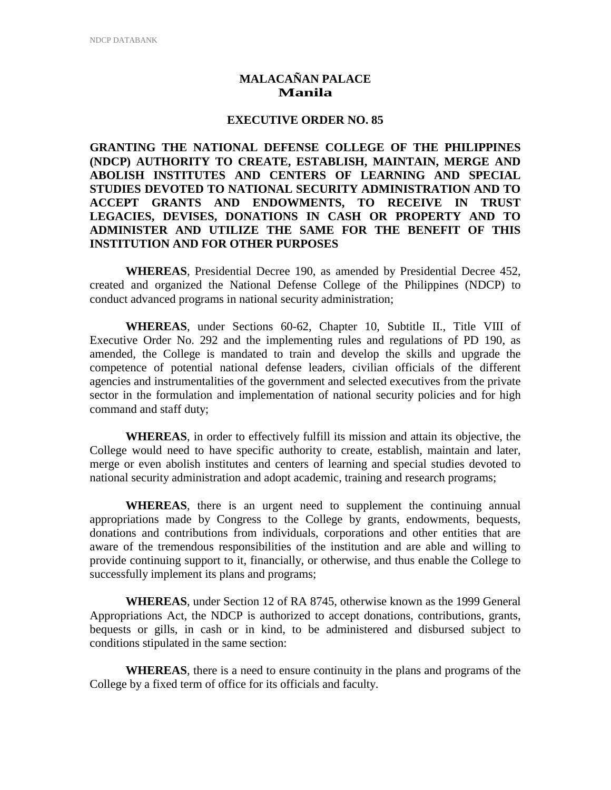## **MALACAÑAN PALACE Manila**

## **EXECUTIVE ORDER NO. 85**

**GRANTING THE NATIONAL DEFENSE COLLEGE OF THE PHILIPPINES (NDCP) AUTHORITY TO CREATE, ESTABLISH, MAINTAIN, MERGE AND ABOLISH INSTITUTES AND CENTERS OF LEARNING AND SPECIAL STUDIES DEVOTED TO NATIONAL SECURITY ADMINISTRATION AND TO ACCEPT GRANTS AND ENDOWMENTS, TO RECEIVE IN TRUST LEGACIES, DEVISES, DONATIONS IN CASH OR PROPERTY AND TO ADMINISTER AND UTILIZE THE SAME FOR THE BENEFIT OF THIS INSTITUTION AND FOR OTHER PURPOSES** 

**WHEREAS**, Presidential Decree 190, as amended by Presidential Decree 452, created and organized the National Defense College of the Philippines (NDCP) to conduct advanced programs in national security administration;

**WHEREAS**, under Sections 60-62, Chapter 10, Subtitle II., Title VIII of Executive Order No. 292 and the implementing rules and regulations of PD 190, as amended, the College is mandated to train and develop the skills and upgrade the competence of potential national defense leaders, civilian officials of the different agencies and instrumentalities of the government and selected executives from the private sector in the formulation and implementation of national security policies and for high command and staff duty;

**WHEREAS**, in order to effectively fulfill its mission and attain its objective, the College would need to have specific authority to create, establish, maintain and later, merge or even abolish institutes and centers of learning and special studies devoted to national security administration and adopt academic, training and research programs;

**WHEREAS**, there is an urgent need to supplement the continuing annual appropriations made by Congress to the College by grants, endowments, bequests, donations and contributions from individuals, corporations and other entities that are aware of the tremendous responsibilities of the institution and are able and willing to provide continuing support to it, financially, or otherwise, and thus enable the College to successfully implement its plans and programs;

**WHEREAS**, under Section 12 of RA 8745, otherwise known as the 1999 General Appropriations Act, the NDCP is authorized to accept donations, contributions, grants, bequests or gills, in cash or in kind, to be administered and disbursed subject to conditions stipulated in the same section:

**WHEREAS**, there is a need to ensure continuity in the plans and programs of the College by a fixed term of office for its officials and faculty.